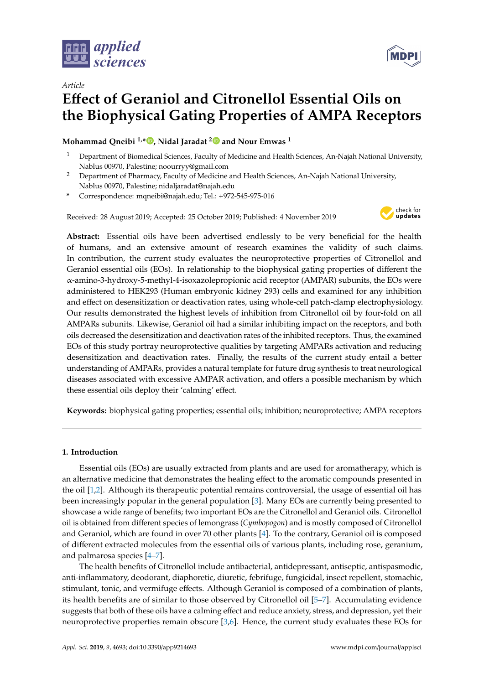



# *Article* **E**ff**ect of Geraniol and Citronellol Essential Oils on the Biophysical Gating Properties of AMPA Receptors**

**Mohammad Qneibi 1,[\\*](https://orcid.org/0000-0002-0702-7834) , Nidal Jaradat [2](https://orcid.org/0000-0003-2291-6821) and Nour Emwas <sup>1</sup>**

- <sup>1</sup> Department of Biomedical Sciences, Faculty of Medicine and Health Sciences, An-Najah National University, Nablus 00970, Palestine; noourryy@gmail.com
- <sup>2</sup> Department of Pharmacy, Faculty of Medicine and Health Sciences, An-Najah National University, Nablus 00970, Palestine; nidaljaradat@najah.edu
- **\*** Correspondence: mqneibi@najah.edu; Tel.: +972-545-975-016

Received: 28 August 2019; Accepted: 25 October 2019; Published: 4 November 2019



**Abstract:** Essential oils have been advertised endlessly to be very beneficial for the health of humans, and an extensive amount of research examines the validity of such claims. In contribution, the current study evaluates the neuroprotective properties of Citronellol and Geraniol essential oils (EOs). In relationship to the biophysical gating properties of different the α-amino-3-hydroxy-5-methyl-4-isoxazolepropionic acid receptor (AMPAR) subunits, the EOs were administered to HEK293 (Human embryonic kidney 293) cells and examined for any inhibition and effect on desensitization or deactivation rates, using whole-cell patch-clamp electrophysiology. Our results demonstrated the highest levels of inhibition from Citronellol oil by four-fold on all AMPARs subunits. Likewise, Geraniol oil had a similar inhibiting impact on the receptors, and both oils decreased the desensitization and deactivation rates of the inhibited receptors. Thus, the examined EOs of this study portray neuroprotective qualities by targeting AMPARs activation and reducing desensitization and deactivation rates. Finally, the results of the current study entail a better understanding of AMPARs, provides a natural template for future drug synthesis to treat neurological diseases associated with excessive AMPAR activation, and offers a possible mechanism by which these essential oils deploy their 'calming' effect.

**Keywords:** biophysical gating properties; essential oils; inhibition; neuroprotective; AMPA receptors

## **1. Introduction**

Essential oils (EOs) are usually extracted from plants and are used for aromatherapy, which is an alternative medicine that demonstrates the healing effect to the aromatic compounds presented in the oil [\[1](#page-7-0)[,2\]](#page-7-1). Although its therapeutic potential remains controversial, the usage of essential oil has been increasingly popular in the general population [\[3\]](#page-7-2). Many EOs are currently being presented to showcase a wide range of benefits; two important EOs are the Citronellol and Geraniol oils. Citronellol oil is obtained from different species of lemongrass (*Cymbopogon*) and is mostly composed of Citronellol and Geraniol, which are found in over 70 other plants [\[4\]](#page-8-0). To the contrary, Geraniol oil is composed of different extracted molecules from the essential oils of various plants, including rose, geranium, and palmarosa species [\[4–](#page-8-0)[7\]](#page-8-1).

The health benefits of Citronellol include antibacterial, antidepressant, antiseptic, antispasmodic, anti-inflammatory, deodorant, diaphoretic, diuretic, febrifuge, fungicidal, insect repellent, stomachic, stimulant, tonic, and vermifuge effects. Although Geraniol is composed of a combination of plants, its health benefits are of similar to those observed by Citronellol oil [\[5](#page-8-2)[–7\]](#page-8-1). Accumulating evidence suggests that both of these oils have a calming effect and reduce anxiety, stress, and depression, yet their neuroprotective properties remain obscure [\[3,](#page-7-2)[6\]](#page-8-3). Hence, the current study evaluates these EOs for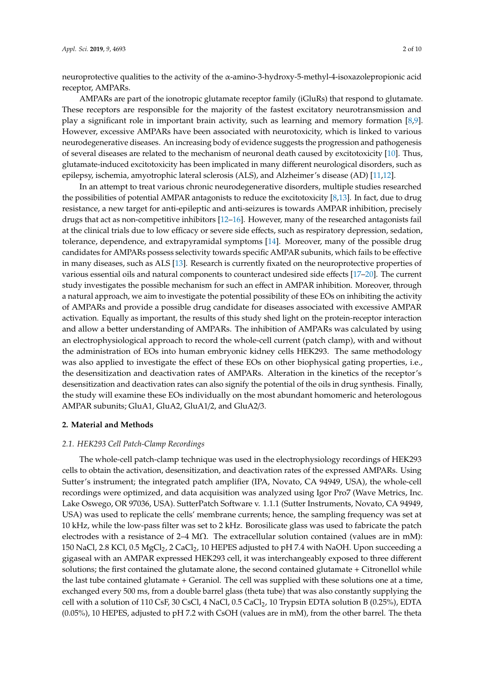neuroprotective qualities to the activity of the α-amino-3-hydroxy-5-methyl-4-isoxazolepropionic acid receptor, AMPARs.

AMPARs are part of the ionotropic glutamate receptor family (iGluRs) that respond to glutamate. These receptors are responsible for the majority of the fastest excitatory neurotransmission and play a significant role in important brain activity, such as learning and memory formation [\[8,](#page-8-4)[9\]](#page-8-5). However, excessive AMPARs have been associated with neurotoxicity, which is linked to various neurodegenerative diseases. An increasing body of evidence suggests the progression and pathogenesis of several diseases are related to the mechanism of neuronal death caused by excitotoxicity [\[10\]](#page-8-6). Thus, glutamate-induced excitotoxicity has been implicated in many different neurological disorders, such as epilepsy, ischemia, amyotrophic lateral sclerosis (ALS), and Alzheimer's disease (AD) [\[11](#page-8-7)[,12\]](#page-8-8).

In an attempt to treat various chronic neurodegenerative disorders, multiple studies researched the possibilities of potential AMPAR antagonists to reduce the excitotoxicity [\[8](#page-8-4)[,13\]](#page-8-9). In fact, due to drug resistance, a new target for anti-epileptic and anti-seizures is towards AMPAR inhibition, precisely drugs that act as non-competitive inhibitors [\[12](#page-8-8)[–16\]](#page-8-10). However, many of the researched antagonists fail at the clinical trials due to low efficacy or severe side effects, such as respiratory depression, sedation, tolerance, dependence, and extrapyramidal symptoms [\[14\]](#page-8-11). Moreover, many of the possible drug candidates for AMPARs possess selectivity towards specific AMPAR subunits, which fails to be effective in many diseases, such as ALS [\[13\]](#page-8-9). Research is currently fixated on the neuroprotective properties of various essential oils and natural components to counteract undesired side effects [\[17](#page-8-12)[–20\]](#page-8-13). The current study investigates the possible mechanism for such an effect in AMPAR inhibition. Moreover, through a natural approach, we aim to investigate the potential possibility of these EOs on inhibiting the activity of AMPARs and provide a possible drug candidate for diseases associated with excessive AMPAR activation. Equally as important, the results of this study shed light on the protein-receptor interaction and allow a better understanding of AMPARs. The inhibition of AMPARs was calculated by using an electrophysiological approach to record the whole-cell current (patch clamp), with and without the administration of EOs into human embryonic kidney cells HEK293. The same methodology was also applied to investigate the effect of these EOs on other biophysical gating properties, i.e., the desensitization and deactivation rates of AMPARs. Alteration in the kinetics of the receptor's desensitization and deactivation rates can also signify the potential of the oils in drug synthesis. Finally, the study will examine these EOs individually on the most abundant homomeric and heterologous AMPAR subunits; GluA1, GluA2, GluA1/2, and GluA2/3.

### **2. Material and Methods**

### *2.1. HEK293 Cell Patch-Clamp Recordings*

The whole-cell patch-clamp technique was used in the electrophysiology recordings of HEK293 cells to obtain the activation, desensitization, and deactivation rates of the expressed AMPARs. Using Sutter's instrument; the integrated patch amplifier (IPA, Novato, CA 94949, USA), the whole-cell recordings were optimized, and data acquisition was analyzed using Igor Pro7 (Wave Metrics, Inc. Lake Oswego, OR 97036, USA). SutterPatch Software v. 1.1.1 (Sutter Instruments, Novato, CA 94949, USA) was used to replicate the cells' membrane currents; hence, the sampling frequency was set at 10 kHz, while the low-pass filter was set to 2 kHz. Borosilicate glass was used to fabricate the patch electrodes with a resistance of 2–4 M $\Omega$ . The extracellular solution contained (values are in mM): 150 NaCl, 2.8 KCl, 0.5 MgCl<sub>2</sub>, 2 CaCl<sub>2</sub>, 10 HEPES adjusted to pH 7.4 with NaOH. Upon succeeding a gigaseal with an AMPAR expressed HEK293 cell, it was interchangeably exposed to three different solutions; the first contained the glutamate alone, the second contained glutamate + Citronellol while the last tube contained glutamate + Geraniol. The cell was supplied with these solutions one at a time, exchanged every 500 ms, from a double barrel glass (theta tube) that was also constantly supplying the cell with a solution of 110 CsF, 30 CsCl, 4 NaCl, 0.5 CaCl<sub>2</sub>, 10 Trypsin EDTA solution B (0.25%), EDTA (0.05%), 10 HEPES, adjusted to pH 7.2 with CsOH (values are in mM), from the other barrel. The theta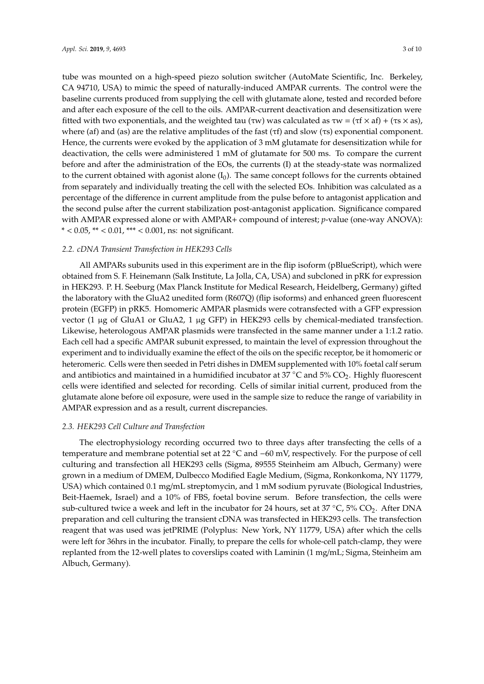tube was mounted on a high-speed piezo solution switcher (AutoMate Scientific, Inc. Berkeley, CA 94710, USA) to mimic the speed of naturally-induced AMPAR currents. The control were the baseline currents produced from supplying the cell with glutamate alone, tested and recorded before and after each exposure of the cell to the oils. AMPAR-current deactivation and desensitization were fitted with two exponentials, and the weighted tau (τw) was calculated as  $\tau w = (\tau f \times af) + (\tau s \times as)$ , where (af) and (as) are the relative amplitudes of the fast (τf) and slow (τs) exponential component. Hence, the currents were evoked by the application of 3 mM glutamate for desensitization while for deactivation, the cells were administered 1 mM of glutamate for 500 ms. To compare the current before and after the administration of the EOs, the currents (I) at the steady-state was normalized to the current obtained with agonist alone  $(I_0)$ . The same concept follows for the currents obtained from separately and individually treating the cell with the selected EOs. Inhibition was calculated as a percentage of the difference in current amplitude from the pulse before to antagonist application and the second pulse after the current stabilization post-antagonist application. Significance compared with AMPAR expressed alone or with AMPAR+ compound of interest; *p*-value (one-way ANOVA):  $*$  < 0.05, \*\* < 0.01, \*\*\* < 0.001, ns: not significant.

#### *2.2. cDNA Transient Transfection in HEK293 Cells*

All AMPARs subunits used in this experiment are in the flip isoform (pBlueScript), which were obtained from S. F. Heinemann (Salk Institute, La Jolla, CA, USA) and subcloned in pRK for expression in HEK293. P. H. Seeburg (Max Planck Institute for Medical Research, Heidelberg, Germany) gifted the laboratory with the GluA2 unedited form (R607Q) (flip isoforms) and enhanced green fluorescent protein (EGFP) in pRK5. Homomeric AMPAR plasmids were cotransfected with a GFP expression vector (1  $\mu$ g of GluA1 or GluA2, 1  $\mu$ g GFP) in HEK293 cells by chemical-mediated transfection. Likewise, heterologous AMPAR plasmids were transfected in the same manner under a 1:1.2 ratio. Each cell had a specific AMPAR subunit expressed, to maintain the level of expression throughout the experiment and to individually examine the effect of the oils on the specific receptor, be it homomeric or heteromeric. Cells were then seeded in Petri dishes in DMEM supplemented with 10% foetal calf serum and antibiotics and maintained in a humidified incubator at 37 °C and 5% CO<sub>2</sub>. Highly fluorescent cells were identified and selected for recording. Cells of similar initial current, produced from the glutamate alone before oil exposure, were used in the sample size to reduce the range of variability in AMPAR expression and as a result, current discrepancies.

### *2.3. HEK293 Cell Culture and Transfection*

The electrophysiology recording occurred two to three days after transfecting the cells of a temperature and membrane potential set at 22 ◦C and −60 mV, respectively. For the purpose of cell culturing and transfection all HEK293 cells (Sigma, 89555 Steinheim am Albuch, Germany) were grown in a medium of DMEM, Dulbecco Modified Eagle Medium, (Sigma, Ronkonkoma, NY 11779, USA) which contained 0.1 mg/mL streptomycin, and 1 mM sodium pyruvate (Biological Industries, Beit-Haemek, Israel) and a 10% of FBS, foetal bovine serum. Before transfection, the cells were sub-cultured twice a week and left in the incubator for 24 hours, set at 37 °C, 5% CO<sub>2</sub>. After DNA preparation and cell culturing the transient cDNA was transfected in HEK293 cells. The transfection reagent that was used was jetPRIME (Polyplus: New York, NY 11779, USA) after which the cells were left for 36hrs in the incubator. Finally, to prepare the cells for whole-cell patch-clamp, they were replanted from the 12-well plates to coverslips coated with Laminin (1 mg/mL; Sigma, Steinheim am Albuch, Germany).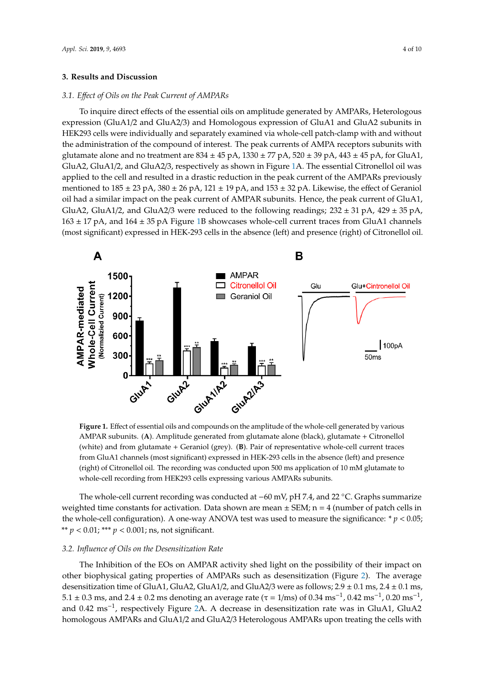#### **3. Results and Discussion 3. Results and Discussion**

## *3.1. E*ff*ect of Oils on the Peak Current of AMPARs 3.1. Effect of Oils on the Peak Current of AMPARs*

To inquire direct effects of the essential oils on amplitude generated by AMPARs, Heterologous To inquire direct effects of the essential oils on amplitude generated by AMPARs, Heterologous expression (GluA1/2 and GluA2/3) and Homologous expression of GluA1 and GluA2 subunits in expression (GluA1/2 and GluA2/3) and Homologous expression of GluA1 and GluA2 subunits in HEK293 cells were individually and separately examined via whole-cell patch-clamp with and without HEK293 cells were individually and separately examined via whole-cell patch-clamp with and the administration of the compound of interest. The peak currents of AMPA receptors subunits with glutamate alone and no treatment are  $834 \pm 45$  pA,  $1330 \pm 77$  pA,  $520 \pm 39$  pA,  $443 \pm 45$  pA, for GluA1, GLuA2, GluA1/2, and GluA2/3, respectively as shown in Figure [1A](#page-3-0). The essential Citronellol oil was applied to the cell and resulted in a drastic reduction in the peak current of the AMPARs previously mentioned to  $185 \pm 23$  pA,  $380 \pm 26$  pA,  $121 \pm 19$  pA, and  $153 \pm 32$  pA. Likewise, the effect of Geraniol oil had a similar impact on the peak current of AMPAR subunits. Hence, the peak current of GluA1, GluA2, GluA1/2, and GluA2/3 were reduced to the following readings;  $232 \pm 31$  pA,  $429 \pm 35$  pA,  $163 \pm 17$  pA, and  $164 \pm 35$  pA Figure [1B](#page-3-0) showcases whole-cell current traces from GluA1 channels  $\frac{1}{2}$  channels (most significant) expressed in HEK-293 cells in the absence (left) and presence (right) of Citronellol oil.  $(11000 \text{ erg.} \dots)$ 

<span id="page-3-0"></span>

AMPAR subunits. (**A**). Amplitude generated from glutamate alone (black), glutamate + Citronellol (white) and from glutamate + Geraniol (grey). (**B**). Pair of representative whole-cell current traces from GluA1 channels (most significant) expressed in HEK-293 cells in the absence (left) and presence (right) of Citronellol oil. The recording was conducted upon 500 ms application of 10 mM glutamate to whole-cell recording from HEK293 cells expressing various AMPARs subunits. **Figure 1.** Effect of essential oils and compounds on the amplitude of the whole-cell generated by various

The whole-cell current recording was conducted at −60 mV, pH 7.4, and 22 °C. Graphs summarize weighted time constants for activation. Data shown are mean  $\pm$  SEM; n = 4 (number of patch cells in the whole-cell configuration). A one-way ANOVA test was used to measure the significance: \*  $p < 0.05$ ; \*\*  $p < 0.01$ ; \*\*\*  $p < 0.001$ ; ns, not significant.

## 3.2. Influence of Oils on the Desensitization Rate

The Inhibition of the EOs on AMPAR activity shed light on the possibility of their impact on desensitization time of GluA1, GluA2, GluA1/2, and GluA2/3 were as follows;  $2.9 \pm 0.1$  ms,  $2.4 \pm 0.1$  ms,  $5.1 \pm 0.3$  ms, and  $2.4 \pm 0.2$  ms denoting an average rate (τ = 1/ms) of 0.34 ms<sup>−1</sup>, 0.42 ms<sup>−1</sup>, 0.20 ms<sup>−1</sup>, desensitization time of GluA1, GluA2, and GluA1, GluA2, and GluA1, Figure [2A](#page-4-0). A decrease in desensitization rate was in GluA1, GluA2 ms, 5.1  $\mu$  0.3 ms, and 2.4  $\mu$  0.3 ms, and 2.4  $\mu$  0.1  $\mu$  0.1  $\mu$  0.1  $\mu$  0.1  $\mu$  0.42  $\mu$  ms $\mu$ , 0.1  $\mu$  ms $\mu$ , 0.12  $\mu$  ms $\mu$ , 0.12  $\mu$  ms $\mu$ , 0.121  $\mu$  ms $\mu$ , 0.121  $\mu$  ms $\mu$ , 0.121  $\mu$  ms $\mu$ ,  $\$ homologous AMPARs and GluA1/2 and GluA2/3 Heterologous AMPARs upon treating the cells with other biophysical gating properties of AMPARs such as desensitization (Figure [2\)](#page-4-0). The average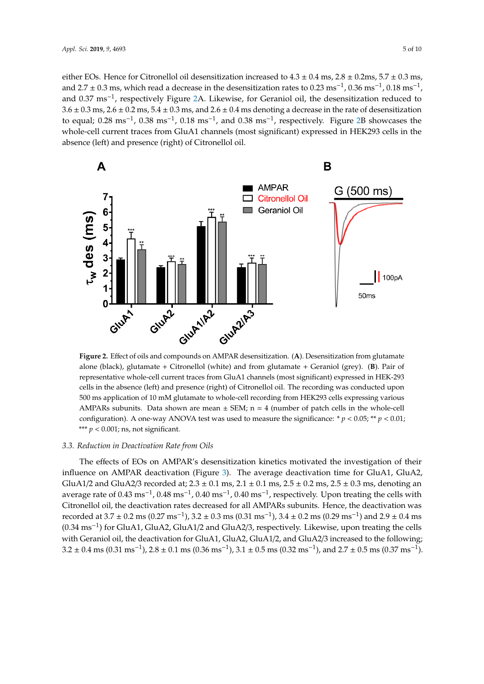either EOs. Hence for Citronellol oil desensitization increased to  $4.3 \pm 0.4$  ms,  $2.8 \pm 0.2$ ms,  $5.7 \pm 0.3$  ms, and 2.7 ± 0.3 ms, which read a decrease in the desensitization rates to 0.23 ms<sup>-1</sup>, 0.36 ms<sup>-1</sup>, 0.18 ms<sup>-1</sup>, and 0.37 ms<sup>−1</sup>, respectively Figure [2A](#page-4-0). Likewise, for Geraniol oil, the desensitization reduced to  $3.6 \pm 0.3$  ms,  $2.6 \pm 0.2$  ms,  $5.4 \pm 0.3$  ms, and  $2.6 \pm 0.4$  ms denoting a decrease in the rate of desensitization to equal;  $0.28 \text{ ms}^{-1}$ ,  $0.38 \text{ ms}^{-1}$ ,  $0.18 \text{ ms}^{-1}$ , and  $0.38 \text{ ms}^{-1}$ , respectively. Figure [2B](#page-4-0) showcases the whole-cell current traces from GluA1 channels (most significant) expressed in HEK293 cells in the absence (left) and presence (right) of Citronellol oil. (left) and presence (right) of Citronellol oil.

<span id="page-4-0"></span>

representative whole-cell current traces from GluA1 channels (most significant) expressed in HEK-293 cells in the absence (left) and presence (right) of Citronellol oil. The recording was conducted upon 500 ms application of 10 mM glutamate to whole-cell recording from HEK293 cells expressing various AMPARs subunits. Data shown are mean  $\pm$  SEM; n = 4 (number of patch cells in the whole-cell configuration). A one-way ANOVA test was used to measure the significance:  $* p < 0.05; ** p < 0.01;$ \*\*\*  $p < 0.001$ ; ns, not significant. **Figure 2.** Effect of oils and compounds on AMPAR desensitization. (**A**). Desensitization from glutamate alone (black), glutamate + Citronellol (white) and from glutamate + Geraniol (grey). (**B**). Pair of

### 3.3. Reduction in Deactivation Rate from Oils

*3.3. Reduction in Deactivation Rate from Oils*  influence on AMPAR deactivation (Figure [3\)](#page-5-0). The average deactivation time for GluA1, GluA2, GluA1/2 and GluA2/3 recorded at;  $2.3 \pm 0.1$  ms,  $2.1 \pm 0.1$  ms,  $2.5 \pm 0.2$  ms,  $2.5 \pm 0.3$  ms, denoting an average rate of 0.43 ms<sup>-1</sup>, 0.48 ms<sup>-1</sup>, 0.40 ms<sup>-1</sup>, 0.40 ms<sup>-1</sup>, respectively. Upon treating the cells with Citronellol oil, the deactivation rates decreased for all AMPARs subunits. Hence, the deactivation was recorded at 3.7 ± 0.2 ms (0.27 ms<sup>-1</sup>), 3.2 ± 0.3 ms (0.31 ms<sup>-1</sup>), 3.4 ± 0.2 ms (0.29 ms<sup>-1</sup>) and 2.9 ± 0.4 ms (0.34 ms<sup>-1</sup>) for GluA1, GluA2, GluA1/2 and GluA2/3, respectively. Likewise, upon treating the cells with Geraniol oil, the deactivation for GluA1, GluA2, GluA1/2, and GluA2/3 increased to the following;  $3.2 \pm 0.4$  ms (0.31 ms<sup>-1</sup>),  $2.8 \pm 0.1$  ms (0.36 ms<sup>-1</sup>),  $3.1 \pm 0.5$  ms (0.32 ms<sup>-1</sup>), and  $2.7 \pm 0.5$  ms (0.37 ms<sup>-1</sup>). The effects of EOs on AMPAR's desensitization kinetics motivated the investigation of their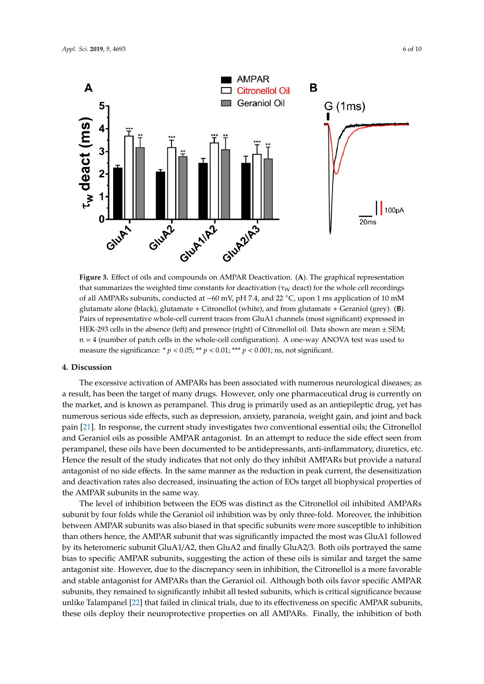<span id="page-5-0"></span>

of all AMPARs subunits, conducted at −60 mV, pH 7.4, and 22 °C, upon 1 ms application of 10 mM that summarizes the weighted time constants for deactivation (τW deact) for the whole cell recordings glutamate alone (black), glutamate + Citronellol (white), and from glutamate + Geraniol (grey). (**B**). of all AMPARS subunity at 22 °C, pH 7.4, and 22 °C, upon 1 mail 22 °C, upon 1 mail 22 °C, upon 1 mail 22 °C, upon 1 mail 22 °C, upon 1 mail 22 °C, upon 1 mail 22 °C, upon 1 mail 22 °C, upon 1 mail 22 °C, upon 1 mail 22 °C HEK-293 cells in the absence (left) and presence (right) of Citronellol oil. Data shown are mean ± SEM;  $n = 4$  (number of patch cells in the whole-cell configuration). A one-way ANOVA test was used to  $\mu$  secure the absolute  $(0.05, **, 20.01, **, 20.01)$  or not similar  $\mu$ . measure the significance: \*  $p < 0.05$ ; \*\*  $p < 0.01$ ; \*\*\*  $p < 0.001$ ; ns, not significant. **Figure 3.** Effect of oils and compounds on AMPAR Deactivation. (**A**). The graphical representation that summarizes the weighted time constants for deactivation ( $\tau_W$  deact) for the whole cell recordings

## **4. Discussion**

The excessive activation of AMPARs has been associated with numerous neurological diseases; as the market, and is known as perampanel. This drug is primarily used as an antiepileptic drug, yet has numerous serious side effects, such as depression, anxiety, paranoia, weight gain, and joint and back pain [\[21\]](#page-8-14). In response, the current study investigates two conventional essential oils; the Citronellol and Geraniol oils as possible AMPAR antagonist. In an attempt to reduce the side effect seen from perampanel, these oils have been documented to be antidepressants, anti-inflammatory, diuretics, etc. Hence the result of the study indicates that not only do they inhibit AMPARs but provide a natural antagonist of no side effects. In the same manner as the reduction in peak current, the desensitization and deactivation rates also decreased, insinuating the action of EOs target all biophysical properties of the AMPAR subunits in the same way. a result, has been the target of many drugs. However, only one pharmaceutical drug is currently on

The level of inhibition between the EOS was distinct as the Citronellol oil inhibited AMPARs subunit by four folds while the Geraniol oil inhibition was by only three-fold. Moreover, the inhibition between AMPAR subunits was also biased in that specific subunits were more susceptible to inhibition than others hence, the AMPAR subunit that was significantly impacted the most was GluA1 followed by its heteromeric subunit GluA1/A2, then GluA2 and finally GluA2/3. Both oils portrayed the same bias to specific AMPAR subunits, suggesting the action of these oils is similar and target the same antagonist site. However, due to the discrepancy seen in inhibition, the Citronellol is a more favorable and stable antagonist for AMPARs than the Geraniol oil. Although both oils favor specific AMPAR subunits, they remained to significantly inhibit all tested subunits, which is critical significance because unlike Talampanel [\[22\]](#page-8-15) that failed in clinical trials, due to its effectiveness on specific AMPAR subunits, these oils deploy their neuroprotective properties on all AMPARs. Finally, the inhibition of both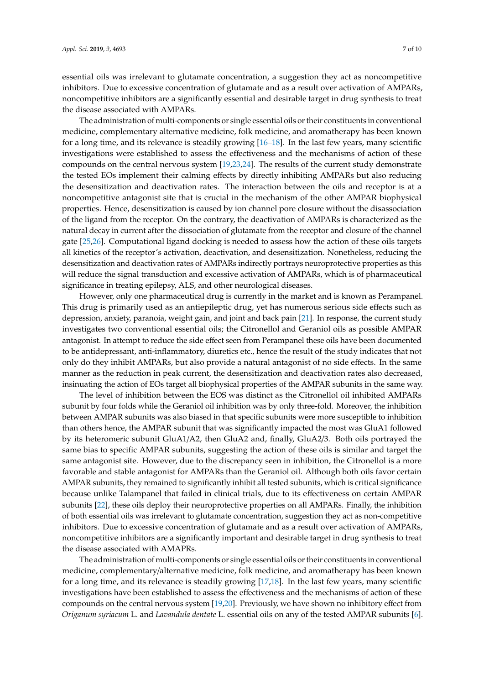essential oils was irrelevant to glutamate concentration, a suggestion they act as noncompetitive inhibitors. Due to excessive concentration of glutamate and as a result over activation of AMPARs, noncompetitive inhibitors are a significantly essential and desirable target in drug synthesis to treat the disease associated with AMPARs.

The administration of multi-components or single essential oils or their constituents in conventional medicine, complementary alternative medicine, folk medicine, and aromatherapy has been known for a long time, and its relevance is steadily growing [\[16](#page-8-10)[–18\]](#page-8-16). In the last few years, many scientific investigations were established to assess the effectiveness and the mechanisms of action of these compounds on the central nervous system [\[19](#page-8-17)[,23](#page-8-18)[,24\]](#page-8-19). The results of the current study demonstrate the tested EOs implement their calming effects by directly inhibiting AMPARs but also reducing the desensitization and deactivation rates. The interaction between the oils and receptor is at a noncompetitive antagonist site that is crucial in the mechanism of the other AMPAR biophysical properties. Hence, desensitization is caused by ion channel pore closure without the disassociation of the ligand from the receptor. On the contrary, the deactivation of AMPARs is characterized as the natural decay in current after the dissociation of glutamate from the receptor and closure of the channel gate [\[25,](#page-9-0)[26\]](#page-9-1). Computational ligand docking is needed to assess how the action of these oils targets all kinetics of the receptor's activation, deactivation, and desensitization. Nonetheless, reducing the desensitization and deactivation rates of AMPARs indirectly portrays neuroprotective properties as this will reduce the signal transduction and excessive activation of AMPARs, which is of pharmaceutical significance in treating epilepsy, ALS, and other neurological diseases.

However, only one pharmaceutical drug is currently in the market and is known as Perampanel. This drug is primarily used as an antiepileptic drug, yet has numerous serious side effects such as depression, anxiety, paranoia, weight gain, and joint and back pain [\[21\]](#page-8-14). In response, the current study investigates two conventional essential oils; the Citronellol and Geraniol oils as possible AMPAR antagonist. In attempt to reduce the side effect seen from Perampanel these oils have been documented to be antidepressant, anti-inflammatory, diuretics etc., hence the result of the study indicates that not only do they inhibit AMPARs, but also provide a natural antagonist of no side effects. In the same manner as the reduction in peak current, the desensitization and deactivation rates also decreased, insinuating the action of EOs target all biophysical properties of the AMPAR subunits in the same way.

The level of inhibition between the EOS was distinct as the Citronellol oil inhibited AMPARs subunit by four folds while the Geraniol oil inhibition was by only three-fold. Moreover, the inhibition between AMPAR subunits was also biased in that specific subunits were more susceptible to inhibition than others hence, the AMPAR subunit that was significantly impacted the most was GluA1 followed by its heteromeric subunit GluA1/A2, then GluA2 and, finally, GluA2/3. Both oils portrayed the same bias to specific AMPAR subunits, suggesting the action of these oils is similar and target the same antagonist site. However, due to the discrepancy seen in inhibition, the Citronellol is a more favorable and stable antagonist for AMPARs than the Geraniol oil. Although both oils favor certain AMPAR subunits, they remained to significantly inhibit all tested subunits, which is critical significance because unlike Talampanel that failed in clinical trials, due to its effectiveness on certain AMPAR subunits [\[22\]](#page-8-15), these oils deploy their neuroprotective properties on all AMPARs. Finally, the inhibition of both essential oils was irrelevant to glutamate concentration, suggestion they act as non-competitive inhibitors. Due to excessive concentration of glutamate and as a result over activation of AMPARs, noncompetitive inhibitors are a significantly important and desirable target in drug synthesis to treat the disease associated with AMAPRs.

The administration of multi-components or single essential oils or their constituents in conventional medicine, complementary/alternative medicine, folk medicine, and aromatherapy has been known for a long time, and its relevance is steadily growing [\[17](#page-8-12)[,18\]](#page-8-16). In the last few years, many scientific investigations have been established to assess the effectiveness and the mechanisms of action of these compounds on the central nervous system [\[19,](#page-8-17)[20\]](#page-8-13). Previously, we have shown no inhibitory effect from *Origanum syriacum* L. and *Lavandula dentate* L. essential oils on any of the tested AMPAR subunits [\[6\]](#page-8-3).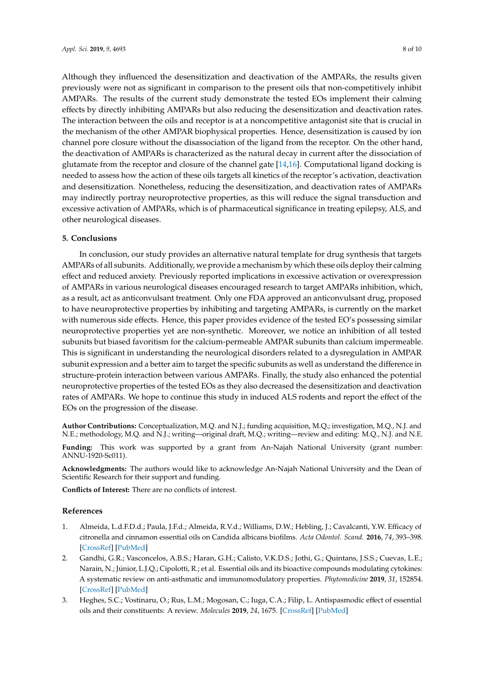Although they influenced the desensitization and deactivation of the AMPARs, the results given previously were not as significant in comparison to the present oils that non-competitively inhibit AMPARs. The results of the current study demonstrate the tested EOs implement their calming effects by directly inhibiting AMPARs but also reducing the desensitization and deactivation rates. The interaction between the oils and receptor is at a noncompetitive antagonist site that is crucial in the mechanism of the other AMPAR biophysical properties. Hence, desensitization is caused by ion channel pore closure without the disassociation of the ligand from the receptor. On the other hand, the deactivation of AMPARs is characterized as the natural decay in current after the dissociation of glutamate from the receptor and closure of the channel gate [\[14](#page-8-11)[,16\]](#page-8-10). Computational ligand docking is needed to assess how the action of these oils targets all kinetics of the receptor's activation, deactivation and desensitization. Nonetheless, reducing the desensitization, and deactivation rates of AMPARs may indirectly portray neuroprotective properties, as this will reduce the signal transduction and excessive activation of AMPARs, which is of pharmaceutical significance in treating epilepsy, ALS, and other neurological diseases.

### **5. Conclusions**

In conclusion, our study provides an alternative natural template for drug synthesis that targets AMPARs of all subunits. Additionally, we provide a mechanism by which these oils deploy their calming effect and reduced anxiety. Previously reported implications in excessive activation or overexpression of AMPARs in various neurological diseases encouraged research to target AMPARs inhibition, which, as a result, act as anticonvulsant treatment. Only one FDA approved an anticonvulsant drug, proposed to have neuroprotective properties by inhibiting and targeting AMPARs, is currently on the market with numerous side effects. Hence, this paper provides evidence of the tested EO's possessing similar neuroprotective properties yet are non-synthetic. Moreover, we notice an inhibition of all tested subunits but biased favoritism for the calcium-permeable AMPAR subunits than calcium impermeable. This is significant in understanding the neurological disorders related to a dysregulation in AMPAR subunit expression and a better aim to target the specific subunits as well as understand the difference in structure-protein interaction between various AMPARs. Finally, the study also enhanced the potential neuroprotective properties of the tested EOs as they also decreased the desensitization and deactivation rates of AMPARs. We hope to continue this study in induced ALS rodents and report the effect of the EOs on the progression of the disease.

**Author Contributions:** Conceptualization, M.Q. and N.J.; funding acquisition, M.Q.; investigation, M.Q., N.J. and N.E.; methodology, M.Q. and N.J.; writing—original draft, M.Q.; writing—review and editing: M.Q., N.J. and N.E.

Funding: This work was supported by a grant from An-Najah National University (grant number: ANNU-1920-Sc011).

**Acknowledgments:** The authors would like to acknowledge An-Najah National University and the Dean of Scientific Research for their support and funding.

**Conflicts of Interest:** There are no conflicts of interest.

### **References**

- <span id="page-7-0"></span>1. Almeida, L.d.F.D.d.; Paula, J.F.d.; Almeida, R.V.d.; Williams, D.W.; Hebling, J.; Cavalcanti, Y.W. Efficacy of citronella and cinnamon essential oils on Candida albicans biofilms. *Acta Odontol. Scand.* **2016**, *74*, 393–398. [\[CrossRef\]](http://dx.doi.org/10.3109/00016357.2016.1166261) [\[PubMed\]](http://www.ncbi.nlm.nih.gov/pubmed/27098375)
- <span id="page-7-1"></span>2. Gandhi, G.R.; Vasconcelos, A.B.S.; Haran, G.H.; Calisto, V.K.D.S.; Jothi, G.; Quintans, J.S.S.; Cuevas, L.E.; Narain, N.; Júnior, L.J.Q.; Cipolotti, R.; et al. Essential oils and its bioactive compounds modulating cytokines: A systematic review on anti-asthmatic and immunomodulatory properties. *Phytomedicine* **2019**, *31*, 152854. [\[CrossRef\]](http://dx.doi.org/10.1016/j.phymed.2019.152854) [\[PubMed\]](http://www.ncbi.nlm.nih.gov/pubmed/31036393)
- <span id="page-7-2"></span>3. Heghes, S.C.; Vostinaru, O.; Rus, L.M.; Mogosan, C.; Iuga, C.A.; Filip, L. Antispasmodic effect of essential oils and their constituents: A review. *Molecules* **2019**, *24*, 1675. [\[CrossRef\]](http://dx.doi.org/10.3390/molecules24091675) [\[PubMed\]](http://www.ncbi.nlm.nih.gov/pubmed/31035694)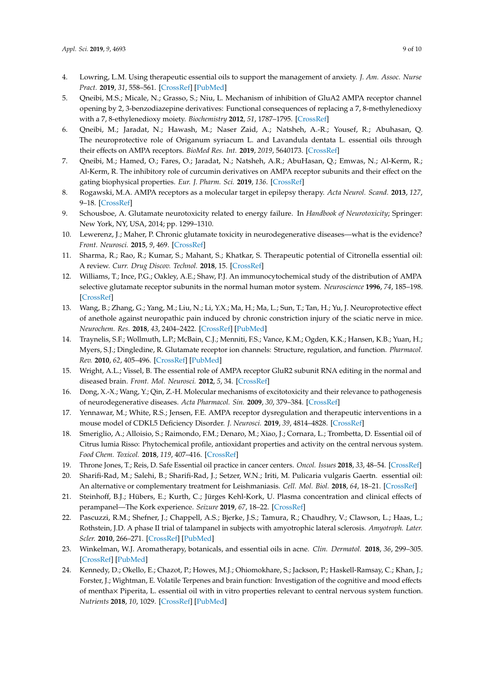- <span id="page-8-0"></span>4. Lowring, L.M. Using therapeutic essential oils to support the management of anxiety. *J. Am. Assoc. Nurse Pract.* **2019**, *31*, 558–561. [\[CrossRef\]](http://dx.doi.org/10.1097/JXX.0000000000000227) [\[PubMed\]](http://www.ncbi.nlm.nih.gov/pubmed/31169787)
- <span id="page-8-2"></span>5. Qneibi, M.S.; Micale, N.; Grasso, S.; Niu, L. Mechanism of inhibition of GluA2 AMPA receptor channel opening by 2, 3-benzodiazepine derivatives: Functional consequences of replacing a 7, 8-methylenedioxy with a 7, 8-ethylenedioxy moiety. *Biochemistry* **2012**, *51*, 1787–1795. [\[CrossRef\]](http://dx.doi.org/10.1021/bi2017552)
- <span id="page-8-3"></span>6. Qneibi, M.; Jaradat, N.; Hawash, M.; Naser Zaid, A.; Natsheh, A.-R.; Yousef, R.; Abuhasan, Q. The neuroprotective role of Origanum syriacum L. and Lavandula dentata L. essential oils through their effects on AMPA receptors. *BioMed Res. Int.* **2019**, *2019*, 5640173. [\[CrossRef\]](http://dx.doi.org/10.1155/2019/5640173)
- <span id="page-8-1"></span>7. Qneibi, M.; Hamed, O.; Fares, O.; Jaradat, N.; Natsheh, A.R.; AbuHasan, Q.; Emwas, N.; Al-Kerm, R.; Al-Kerm, R. The inhibitory role of curcumin derivatives on AMPA receptor subunits and their effect on the gating biophysical properties. *Eur. J. Pharm. Sci.* **2019**, *136*. [\[CrossRef\]](http://dx.doi.org/10.1016/j.ejps.2019.06.005)
- <span id="page-8-4"></span>8. Rogawski, M.A. AMPA receptors as a molecular target in epilepsy therapy. *Acta Neurol. Scand.* **2013**, *127*, 9–18. [\[CrossRef\]](http://dx.doi.org/10.1111/ane.12099)
- <span id="page-8-5"></span>9. Schousboe, A. Glutamate neurotoxicity related to energy failure. In *Handbook of Neurotoxicity*; Springer: New York, NY, USA, 2014; pp. 1299–1310.
- <span id="page-8-6"></span>10. Lewerenz, J.; Maher, P. Chronic glutamate toxicity in neurodegenerative diseases—what is the evidence? *Front. Neurosci.* **2015**, *9*, 469. [\[CrossRef\]](http://dx.doi.org/10.3389/fnins.2015.00469)
- <span id="page-8-7"></span>11. Sharma, R.; Rao, R.; Kumar, S.; Mahant, S.; Khatkar, S. Therapeutic potential of Citronella essential oil: A review. *Curr. Drug Discov. Technol.* **2018**, 15. [\[CrossRef\]](http://dx.doi.org/10.2174/1570163815666180718095041)
- <span id="page-8-8"></span>12. Williams, T.; Ince, P.G.; Oakley, A.E.; Shaw, P.J. An immunocytochemical study of the distribution of AMPA selective glutamate receptor subunits in the normal human motor system. *Neuroscience* **1996**, *74*, 185–198. [\[CrossRef\]](http://dx.doi.org/10.1016/0306-4522(96)00117-0)
- <span id="page-8-9"></span>13. Wang, B.; Zhang, G.; Yang, M.; Liu, N.; Li, Y.X.; Ma, H.; Ma, L.; Sun, T.; Tan, H.; Yu, J. Neuroprotective effect of anethole against neuropathic pain induced by chronic constriction injury of the sciatic nerve in mice. *Neurochem. Res.* **2018**, *43*, 2404–2422. [\[CrossRef\]](http://dx.doi.org/10.1007/s11064-018-2668-7) [\[PubMed\]](http://www.ncbi.nlm.nih.gov/pubmed/30367337)
- <span id="page-8-11"></span>14. Traynelis, S.F.; Wollmuth, L.P.; McBain, C.J.; Menniti, F.S.; Vance, K.M.; Ogden, K.K.; Hansen, K.B.; Yuan, H.; Myers, S.J.; Dingledine, R. Glutamate receptor ion channels: Structure, regulation, and function. *Pharmacol. Rev.* **2010**, *62*, 405–496. [\[CrossRef\]](http://dx.doi.org/10.1124/pr.109.002451) [\[PubMed\]](http://www.ncbi.nlm.nih.gov/pubmed/20716669)
- 15. Wright, A.L.; Vissel, B. The essential role of AMPA receptor GluR2 subunit RNA editing in the normal and diseased brain. *Front. Mol. Neurosci.* **2012**, *5*, 34. [\[CrossRef\]](http://dx.doi.org/10.3389/fnmol.2012.00034)
- <span id="page-8-10"></span>16. Dong, X.-X.; Wang, Y.; Qin, Z.-H. Molecular mechanisms of excitotoxicity and their relevance to pathogenesis of neurodegenerative diseases. *Acta Pharmacol. Sin.* **2009**, *30*, 379–384. [\[CrossRef\]](http://dx.doi.org/10.1038/aps.2009.24)
- <span id="page-8-12"></span>17. Yennawar, M.; White, R.S.; Jensen, F.E. AMPA receptor dysregulation and therapeutic interventions in a mouse model of CDKL5 Deficiency Disorder. *J. Neurosci.* **2019**, *39*, 4814–4828. [\[CrossRef\]](http://dx.doi.org/10.1523/JNEUROSCI.2041-18.2019)
- <span id="page-8-16"></span>18. Smeriglio, A.; Alloisio, S.; Raimondo, F.M.; Denaro, M.; Xiao, J.; Cornara, L.; Trombetta, D. Essential oil of Citrus lumia Risso: Phytochemical profile, antioxidant properties and activity on the central nervous system. *Food Chem. Toxicol.* **2018**, *119*, 407–416. [\[CrossRef\]](http://dx.doi.org/10.1016/j.fct.2017.12.053)
- <span id="page-8-17"></span>19. Throne Jones, T.; Reis, D. Safe Essential oil practice in cancer centers. *Oncol. Issues* **2018**, *33*, 48–54. [\[CrossRef\]](http://dx.doi.org/10.1080/10463356.2018.1502530)
- <span id="page-8-13"></span>20. Sharifi-Rad, M.; Salehi, B.; Sharifi-Rad, J.; Setzer, W.N.; Iriti, M. Pulicaria vulgaris Gaertn. essential oil: An alternative or complementary treatment for Leishmaniasis. *Cell. Mol. Biol.* **2018**, *64*, 18–21. [\[CrossRef\]](http://dx.doi.org/10.14715/cmb/2018.64.8.3)
- <span id="page-8-14"></span>21. Steinhoff, B.J.; Hübers, E.; Kurth, C.; Jürges Kehl-Kork, U. Plasma concentration and clinical effects of perampanel—The Kork experience. *Seizure* **2019**, *67*, 18–22. [\[CrossRef\]](http://dx.doi.org/10.1016/j.seizure.2019.02.022)
- <span id="page-8-15"></span>22. Pascuzzi, R.M.; Shefner, J.; Chappell, A.S.; Bjerke, J.S.; Tamura, R.; Chaudhry, V.; Clawson, L.; Haas, L.; Rothstein, J.D. A phase II trial of talampanel in subjects with amyotrophic lateral sclerosis. *Amyotroph. Later. Scler.* **2010**, 266–271. [\[CrossRef\]](http://dx.doi.org/10.3109/17482960903307805) [\[PubMed\]](http://www.ncbi.nlm.nih.gov/pubmed/19961264)
- <span id="page-8-18"></span>23. Winkelman, W.J. Aromatherapy, botanicals, and essential oils in acne. *Clin. Dermatol.* **2018**, *36*, 299–305. [\[CrossRef\]](http://dx.doi.org/10.1016/j.clindermatol.2018.03.004) [\[PubMed\]](http://www.ncbi.nlm.nih.gov/pubmed/29908571)
- <span id="page-8-19"></span>24. Kennedy, D.; Okello, E.; Chazot, P.; Howes, M.J.; Ohiomokhare, S.; Jackson, P.; Haskell-Ramsay, C.; Khan, J.; Forster, J.; Wightman, E. Volatile Terpenes and brain function: Investigation of the cognitive and mood effects of mentha× Piperita, L. essential oil with in vitro properties relevant to central nervous system function. *Nutrients* **2018**, *10*, 1029. [\[CrossRef\]](http://dx.doi.org/10.3390/nu10081029) [\[PubMed\]](http://www.ncbi.nlm.nih.gov/pubmed/30087294)